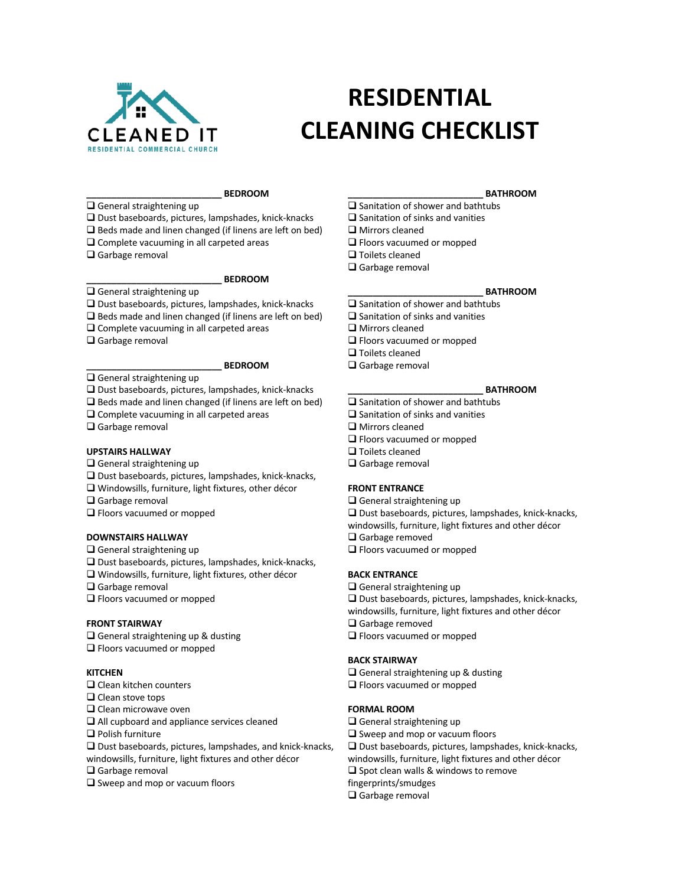

# **RESIDENTIAL CLEANING CHECKLIST**

# **\_\_\_\_\_\_\_\_\_\_\_\_\_\_\_\_\_\_\_\_\_\_\_\_\_\_\_ BEDROOM**

- $\square$  General straightening up  $\square$  Dust baseboards, pictures, lampshades, knick-knacks
- $\Box$  Beds made and linen changed (if linens are left on bed)
- $\Box$  Complete vacuuming in all carpeted areas
- $\Box$  Garbage removal

# **\_\_\_\_\_\_\_\_\_\_\_\_\_\_\_\_\_\_\_\_\_\_\_\_\_\_\_ BEDROOM**

 $\Box$  General straightening up

- $\Box$  Dust baseboards, pictures, lampshades, knick-knacks
- $\Box$  Beds made and linen changed (if linens are left on bed)
- $\Box$  Complete vacuuming in all carpeted areas
- $\square$  Garbage removal

### **\_\_\_\_\_\_\_\_\_\_\_\_\_\_\_\_\_\_\_\_\_\_\_\_\_\_\_ BEDROOM**

 $\square$  General straightening up

 $\Box$  Dust baseboards, pictures, lampshades, knick-knacks

- $\Box$  Beds made and linen changed (if linens are left on bed)
- $\square$  Complete vacuuming in all carpeted areas
- $\Box$  Garbage removal

#### **UPSTAIRS HALLWAY**

- $\Box$  General straightening up
- $\square$  Dust baseboards, pictures, lampshades, knick-knacks,
- $\square$  Windowsills, furniture, light fixtures, other décor
- $\Box$  Garbage removal
- $\Box$  Floors vacuumed or mopped

# **DOWNSTAIRS HALLWAY**

- $\Box$  General straightening up
- $\square$  Dust baseboards, pictures, lampshades, knick-knacks,
- $\Box$  Windowsills, furniture, light fixtures, other décor
- $\Box$  Garbage removal
- $\Box$  Floors vacuumed or mopped

#### **FRONT STAIRWAY**

- $\square$  General straightening up & dusting
- $\Box$  Floors vacuumed or mopped

# **KITCHEN**

- $\Box$  Clean kitchen counters
- $\Box$  Clean stove tops
- $\Box$  Clean microwave oven
- $\Box$  All cupboard and appliance services cleaned
- $\Box$  Polish furniture
- $\Box$  Dust baseboards, pictures, lampshades, and knick-knacks,
- windowsills, furniture, light fixtures and other décor
- $\Box$  Garbage removal
- $\square$  Sweep and mop or vacuum floors

#### **\_\_\_\_\_\_\_\_\_\_\_\_\_\_\_\_\_\_\_\_\_\_\_\_\_\_\_ BATHROOM**

- $\Box$  Sanitation of shower and bathtubs
- $\square$  Sanitation of sinks and vanities
- $\Box$  Mirrors cleaned
- $\Box$  Floors vacuumed or mopped
- $\Box$  Toilets cleaned
- $\Box$  Garbage removal

#### **\_\_\_\_\_\_\_\_\_\_\_\_\_\_\_\_\_\_\_\_\_\_\_\_\_\_\_ BATHROOM**

- $\Box$  Sanitation of shower and bathtubs
- $\Box$  Sanitation of sinks and vanities
- $\square$  Mirrors cleaned
- $\Box$  Floors vacuumed or mopped
- $\Box$  Toilets cleaned
- $\Box$  Garbage removal

### **\_\_\_\_\_\_\_\_\_\_\_\_\_\_\_\_\_\_\_\_\_\_\_\_\_\_\_ BATHROOM**

- $\square$  Sanitation of shower and bathtubs
- $\Box$  Sanitation of sinks and vanities
- $\square$  Mirrors cleaned
- $\Box$  Floors vacuumed or mopped
- $\Box$  Toilets cleaned
- $\Box$  Garbage removal

### **FRONT ENTRANCE**

- $\Box$  General straightening up
- $\Box$  Dust baseboards, pictures, lampshades, knick-knacks,
- windowsills, furniture, light fixtures and other décor
- $\Box$  Garbage removed
- $\Box$  Floors vacuumed or mopped

# **BACK ENTRANCE**

- $\Box$  General straightening up
- $\Box$  Dust baseboards, pictures, lampshades, knick-knacks,
- windowsills, furniture, light fixtures and other décor
- $\Box$  Garbage removed
- $\Box$  Floors vacuumed or mopped

#### **BACK STAIRWAY**

- $\Box$  General straightening up & dusting
- $\Box$  Floors vacuumed or mopped

### **FORMAL ROOM**

- $\Box$  General straightening up
- $\Box$  Sweep and mop or vacuum floors
- $\Box$  Dust baseboards, pictures, lampshades, knick-knacks,
- windowsills, furniture, light fixtures and other décor
- $\square$  Spot clean walls & windows to remove
	- fingerprints/smudges
	- $\Box$  Garbage removal